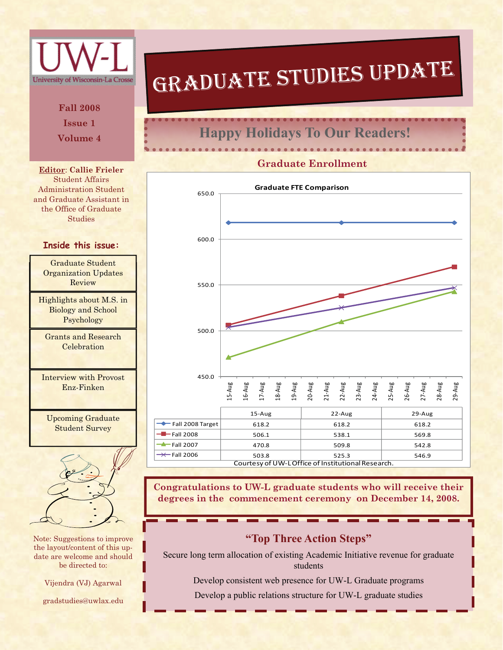

Note: Suggestions to improve the layout/content of this update are welcome and should be directed to:

Vijendra (VJ) Agarwal

gradstudies@uwlax.edu

# GRADUATE STUDIES UPDATE

#### **Volume 4 Happy Holidays To Our Readers!**

#### **Graduate Enrollment**



**Congratulations to UW-L graduate students who will receive their degrees in the commencement ceremony on December 14, 2008.** 

#### **"Top Three Action Steps"**

Secure long term allocation of existing Academic Initiative revenue for graduate students

Develop consistent web presence for UW-L Graduate programs

Develop a public relations structure for UW-L graduate studies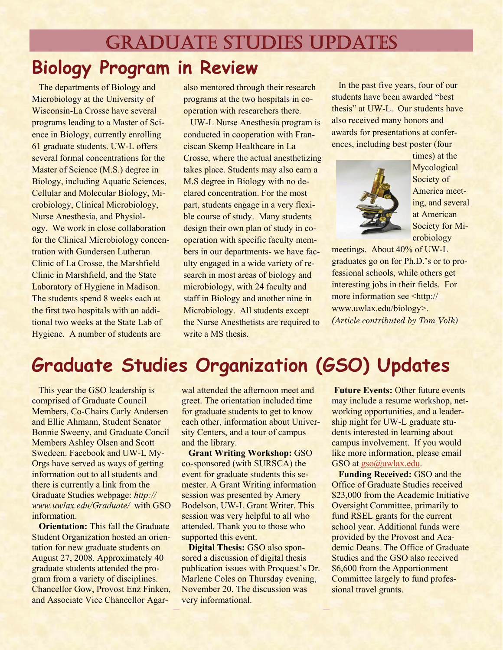# **Biology Program in Review**  GRADUATE STUDIES UPDATES

 The departments of Biology and Microbiology at the University of Wisconsin-La Crosse have several programs leading to a Master of Science in Biology, currently enrolling 61 graduate students. UW-L offers several formal concentrations for the Master of Science (M.S.) degree in Biology, including Aquatic Sciences, Cellular and Molecular Biology, Microbiology, Clinical Microbiology, Nurse Anesthesia, and Physiology. We work in close collaboration for the Clinical Microbiology concentration with Gundersen Lutheran Clinic of La Crosse, the Marshfield Clinic in Marshfield, and the State Laboratory of Hygiene in Madison. The students spend 8 weeks each at the first two hospitals with an additional two weeks at the State Lab of Hygiene. A number of students are

also mentored through their research programs at the two hospitals in cooperation with researchers there.

 UW-L Nurse Anesthesia program is conducted in cooperation with Franciscan Skemp Healthcare in La Crosse, where the actual anesthetizing takes place. Students may also earn a M.S degree in Biology with no declared concentration. For the most part, students engage in a very flexible course of study. Many students design their own plan of study in cooperation with specific faculty members in our departments- we have faculty engaged in a wide variety of research in most areas of biology and microbiology, with 24 faculty and staff in Biology and another nine in Microbiology. All students except the Nurse Anesthetists are required to write a MS thesis.

 In the past five years, four of our students have been awarded "best thesis" at UW-L. Our students have also received many honors and awards for presentations at conferences, including best poster (four



times) at the Mycological Society of America meeting, and several at American Society for Microbiology

meetings. About 40% of UW-L graduates go on for Ph.D.'s or to professional schools, while others get interesting jobs in their fields. For more information see <http:// www.uwlax.edu/biology>. *(Article contributed by Tom Volk)*

## **Graduate Studies Organization (GSO) Updates**

 This year the GSO leadership is comprised of Graduate Council Members, Co-Chairs Carly Andersen and Ellie Ahmann, Student Senator Bonnie Sweeny, and Graduate Concil Members Ashley Olsen and Scott Swedeen. Facebook and UW-L My-Orgs have served as ways of getting information out to all students and there is currently a link from the Graduate Studies webpage: *http:// www.uwlax.edu/Graduate/* with GSO information.

**Orientation:** This fall the Graduate Student Organization hosted an orientation for new graduate students on August 27, 2008. Approximately 40 graduate students attended the program from a variety of disciplines. Chancellor Gow, Provost Enz Finken, and Associate Vice Chancellor Agarwal attended the afternoon meet and greet. The orientation included time for graduate students to get to know each other, information about University Centers, and a tour of campus and the library.

 **Grant Writing Workshop:** GSO co-sponsored (with SURSCA) the event for graduate students this semester. A Grant Writing information session was presented by Amery Bodelson, UW-L Grant Writer. This session was very helpful to all who attended. Thank you to those who supported this event.

 **Digital Thesis:** GSO also sponsored a discussion of digital thesis publication issues with Proquest's Dr. Marlene Coles on Thursday evening, November 20. The discussion was very informational.

**Future Events: Other future events** may include a resume workshop, networking opportunities, and a leadership night for UW-L graduate students interested in learning about campus involvement. If you would like more information, please email GSO at [gso@uwlax.edu](mailto:gso@uwlax.edu).

**Funding Received: GSO and the** Office of Graduate Studies received \$23,000 from the Academic Initiative Oversight Committee, primarily to fund RSEL grants for the current school year. Additional funds were provided by the Provost and Academic Deans. The Office of Graduate Studies and the GSO also received \$6,600 from the Apportionment Committee largely to fund professional travel grants.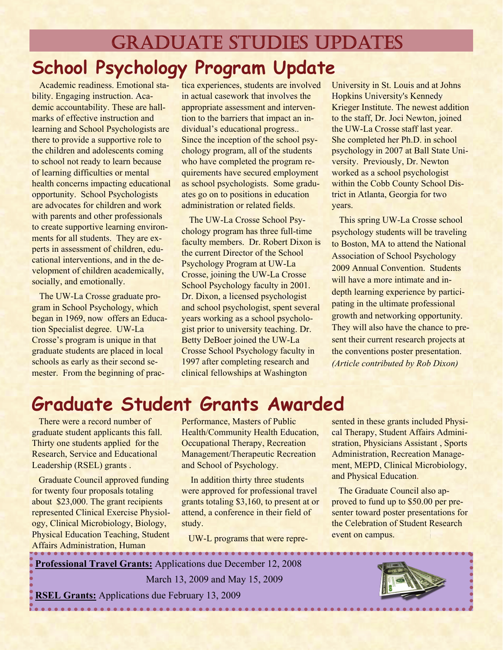# GRADUATE STUDIES UPDATES **School Psychology Program Update**

Academic readiness. Emotional stability. Engaging instruction. Academic accountability. These are hallmarks of effective instruction and learning and School Psychologists are there to provide a supportive role to the children and adolescents coming to school not ready to learn because of learning difficulties or mental health concerns impacting educational opportunity. School Psychologists are advocates for children and work with parents and other professionals to create supportive learning environments for all students. They are experts in assessment of children, educational interventions, and in the development of children academically, socially, and emotionally.

The UW-La Crosse graduate program in School Psychology, which began in 1969, now offers an Education Specialist degree. UW-La Crosse's program is unique in that graduate students are placed in local schools as early as their second semester. From the beginning of practica experiences, students are involved in actual casework that involves the appropriate assessment and intervention to the barriers that impact an individual's educational progress.. Since the inception of the school psychology program, all of the students who have completed the program requirements have secured employment as school psychologists. Some graduates go on to positions in education administration or related fields.

The UW-La Crosse School Psychology program has three full-time faculty members. Dr. Robert Dixon is the current Director of the School Psychology Program at UW-La Crosse, joining the UW-La Crosse School Psychology faculty in 2001. Dr. Dixon, a licensed psychologist and school psychologist, spent several years working as a school psychologist prior to university teaching. Dr. Betty DeBoer joined the UW-La Crosse School Psychology faculty in 1997 after completing research and clinical fellowships at Washington

University in St. Louis and at Johns Hopkins University's Kennedy Krieger Institute. The newest addition to the staff, Dr. Joci Newton, joined the UW-La Crosse staff last year. She completed her Ph.D. in school psychology in 2007 at Ball State University. Previously, Dr. Newton worked as a school psychologist within the Cobb County School District in Atlanta, Georgia for two years.

This spring UW-La Crosse school psychology students will be traveling to Boston, MA to attend the National Association of School Psychology 2009 Annual Convention. Students will have a more intimate and indepth learning experience by participating in the ultimate professional growth and networking opportunity. They will also have the chance to present their current research projects at the conventions poster presentation. *(Article contributed by Rob Dixon)*

### **Graduate Student Grants Awarded**

 There were a record number of graduate student applicants this fall. Thirty one students applied for the Research, Service and Educational Leadership (RSEL) grants .

 Graduate Council approved funding for twenty four proposals totaling about \$23,000. The grant recipients represented Clinical Exercise Physiology, Clinical Microbiology, Biology, Physical Education Teaching, Student Affairs Administration, Human

Performance, Masters of Public Health/Community Health Education, Occupational Therapy, Recreation Management/Therapeutic Recreation and School of Psychology.

 In addition thirty three students were approved for professional travel grants totaling \$3,160, to present at or attend, a conference in their field of study.

UW-L programs that were repre-

sented in these grants included Physical Therapy, Student Affairs Administration, Physicians Assistant , Sports Administration, Recreation Management, MEPD, Clinical Microbiology, and Physical Education.

 The Graduate Council also approved to fund up to \$50.00 per presenter toward poster presentations for the Celebration of Student Research event on campus.

**Professional Travel Grants:** Applications due December 12, 2008 March 13, 2009 and May 15, 2009 **RSEL Grants:** Applications due February 13, 2009